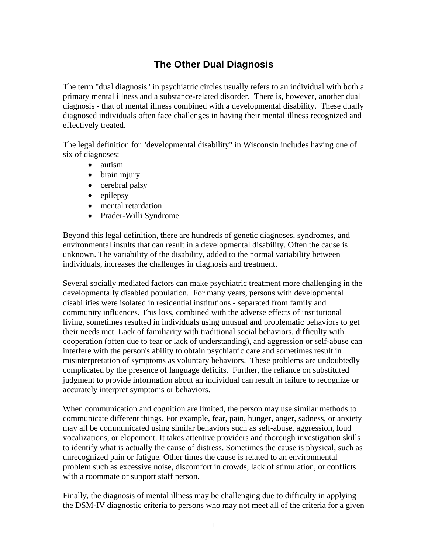## **The Other Dual Diagnosis**

The term "dual diagnosis" in psychiatric circles usually refers to an individual with both a primary mental illness and a substance-related disorder. There is, however, another dual diagnosis - that of mental illness combined with a developmental disability. These dually diagnosed individuals often face challenges in having their mental illness recognized and effectively treated.

The legal definition for "developmental disability" in Wisconsin includes having one of six of diagnoses:

- autism
- brain injury
- cerebral palsy
- epilepsy
- mental retardation
- Prader-Willi Syndrome

Beyond this legal definition, there are hundreds of genetic diagnoses, syndromes, and environmental insults that can result in a developmental disability. Often the cause is unknown. The variability of the disability, added to the normal variability between individuals, increases the challenges in diagnosis and treatment.

Several socially mediated factors can make psychiatric treatment more challenging in the developmentally disabled population. For many years, persons with developmental disabilities were isolated in residential institutions - separated from family and community influences. This loss, combined with the adverse effects of institutional living, sometimes resulted in individuals using unusual and problematic behaviors to get their needs met. Lack of familiarity with traditional social behaviors, difficulty with cooperation (often due to fear or lack of understanding), and aggression or self-abuse can interfere with the person's ability to obtain psychiatric care and sometimes result in misinterpretation of symptoms as voluntary behaviors. These problems are undoubtedly complicated by the presence of language deficits. Further, the reliance on substituted judgment to provide information about an individual can result in failure to recognize or accurately interpret symptoms or behaviors.

When communication and cognition are limited, the person may use similar methods to communicate different things. For example, fear, pain, hunger, anger, sadness, or anxiety may all be communicated using similar behaviors such as self-abuse, aggression, loud vocalizations, or elopement. It takes attentive providers and thorough investigation skills to identify what is actually the cause of distress. Sometimes the cause is physical, such as unrecognized pain or fatigue. Other times the cause is related to an environmental problem such as excessive noise, discomfort in crowds, lack of stimulation, or conflicts with a roommate or support staff person.

Finally, the diagnosis of mental illness may be challenging due to difficulty in applying the DSM-IV diagnostic criteria to persons who may not meet all of the criteria for a given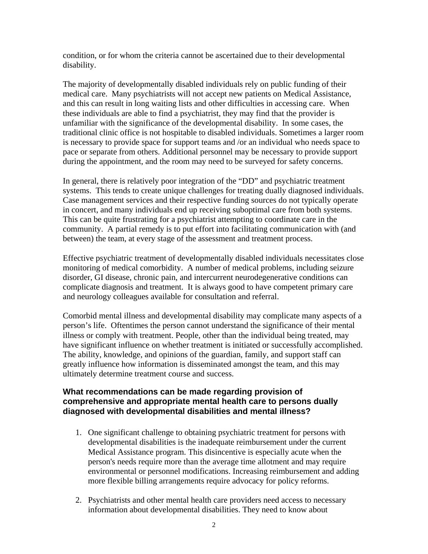condition, or for whom the criteria cannot be ascertained due to their developmental disability.

The majority of developmentally disabled individuals rely on public funding of their medical care. Many psychiatrists will not accept new patients on Medical Assistance, and this can result in long waiting lists and other difficulties in accessing care. When these individuals are able to find a psychiatrist, they may find that the provider is unfamiliar with the significance of the developmental disability. In some cases, the traditional clinic office is not hospitable to disabled individuals. Sometimes a larger room is necessary to provide space for support teams and /or an individual who needs space to pace or separate from others. Additional personnel may be necessary to provide support during the appointment, and the room may need to be surveyed for safety concerns.

In general, there is relatively poor integration of the "DD" and psychiatric treatment systems. This tends to create unique challenges for treating dually diagnosed individuals. Case management services and their respective funding sources do not typically operate in concert, and many individuals end up receiving suboptimal care from both systems. This can be quite frustrating for a psychiatrist attempting to coordinate care in the community. A partial remedy is to put effort into facilitating communication with (and between) the team, at every stage of the assessment and treatment process.

Effective psychiatric treatment of developmentally disabled individuals necessitates close monitoring of medical comorbidity. A number of medical problems, including seizure disorder, GI disease, chronic pain, and intercurrent neurodegenerative conditions can complicate diagnosis and treatment. It is always good to have competent primary care and neurology colleagues available for consultation and referral.

Comorbid mental illness and developmental disability may complicate many aspects of a person's life. Oftentimes the person cannot understand the significance of their mental illness or comply with treatment. People, other than the individual being treated, may have significant influence on whether treatment is initiated or successfully accomplished. The ability, knowledge, and opinions of the guardian, family, and support staff can greatly influence how information is disseminated amongst the team, and this may ultimately determine treatment course and success.

## **What recommendations can be made regarding provision of comprehensive and appropriate mental health care to persons dually diagnosed with developmental disabilities and mental illness?**

- 1. One significant challenge to obtaining psychiatric treatment for persons with developmental disabilities is the inadequate reimbursement under the current Medical Assistance program. This disincentive is especially acute when the person's needs require more than the average time allotment and may require environmental or personnel modifications. Increasing reimbursement and adding more flexible billing arrangements require advocacy for policy reforms.
- 2. Psychiatrists and other mental health care providers need access to necessary information about developmental disabilities. They need to know about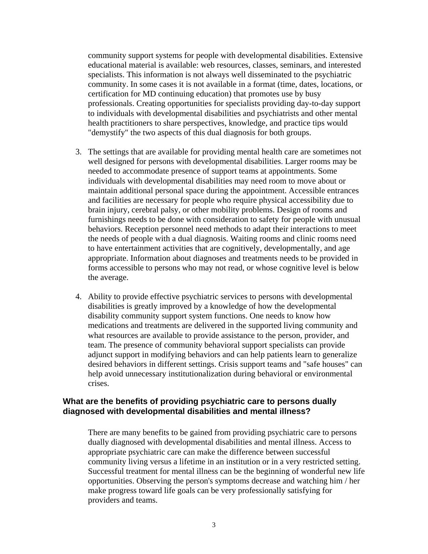community support systems for people with developmental disabilities. Extensive educational material is available: web resources, classes, seminars, and interested specialists. This information is not always well disseminated to the psychiatric community. In some cases it is not available in a format (time, dates, locations, or certification for MD continuing education) that promotes use by busy professionals. Creating opportunities for specialists providing day-to-day support to individuals with developmental disabilities and psychiatrists and other mental health practitioners to share perspectives, knowledge, and practice tips would "demystify" the two aspects of this dual diagnosis for both groups.

- 3. The settings that are available for providing mental health care are sometimes not well designed for persons with developmental disabilities. Larger rooms may be needed to accommodate presence of support teams at appointments. Some individuals with developmental disabilities may need room to move about or maintain additional personal space during the appointment. Accessible entrances and facilities are necessary for people who require physical accessibility due to brain injury, cerebral palsy, or other mobility problems. Design of rooms and furnishings needs to be done with consideration to safety for people with unusual behaviors. Reception personnel need methods to adapt their interactions to meet the needs of people with a dual diagnosis. Waiting rooms and clinic rooms need to have entertainment activities that are cognitively, developmentally, and age appropriate. Information about diagnoses and treatments needs to be provided in forms accessible to persons who may not read, or whose cognitive level is below the average.
- 4. Ability to provide effective psychiatric services to persons with developmental disabilities is greatly improved by a knowledge of how the developmental disability community support system functions. One needs to know how medications and treatments are delivered in the supported living community and what resources are available to provide assistance to the person, provider, and team. The presence of community behavioral support specialists can provide adjunct support in modifying behaviors and can help patients learn to generalize desired behaviors in different settings. Crisis support teams and "safe houses" can help avoid unnecessary institutionalization during behavioral or environmental crises.

## **What are the benefits of providing psychiatric care to persons dually diagnosed with developmental disabilities and mental illness?**

There are many benefits to be gained from providing psychiatric care to persons dually diagnosed with developmental disabilities and mental illness. Access to appropriate psychiatric care can make the difference between successful community living versus a lifetime in an institution or in a very restricted setting. Successful treatment for mental illness can be the beginning of wonderful new life opportunities. Observing the person's symptoms decrease and watching him / her make progress toward life goals can be very professionally satisfying for providers and teams.